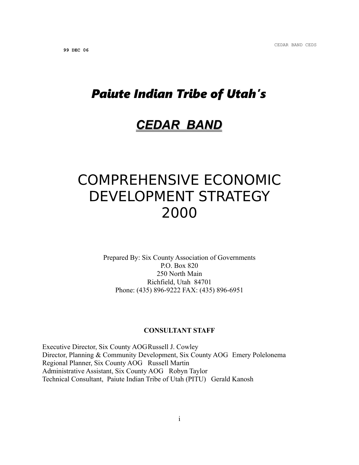# *Paiute Indian Tribe of Utah's*

## *CEDAR BAND*

# COMPREHENSIVE ECONOMIC DEVELOPMENT STRATEGY 2000

Prepared By: Six County Association of Governments P.O. Box 820 250 North Main Richfield, Utah 84701 Phone: (435) 896-9222 FAX: (435) 896-6951

#### **CONSULTANT STAFF**

Executive Director, Six County AOGRussell J. Cowley Director, Planning & Community Development, Six County AOG Emery Polelonema Regional Planner, Six County AOG Russell Martin Administrative Assistant, Six County AOG Robyn Taylor Technical Consultant, Paiute Indian Tribe of Utah (PITU) Gerald Kanosh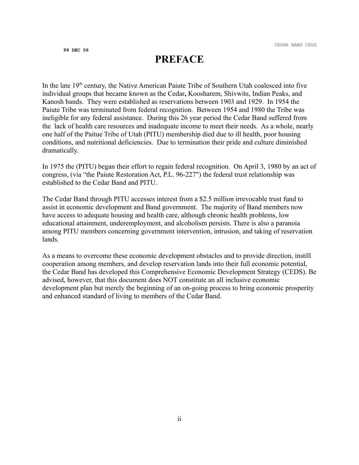### **PREFACE**

In the late  $19<sup>th</sup>$  century, the Native American Paiute Tribe of Southern Utah coalesced into five individual groups that became known as the Cedar**,** Koosharem, Shivwits, Indian Peaks, and Kanosh bands. They were established as reservations between 1903 and 1929. In 1954 the Paiute Tribe was terminated from federal recognition. Between 1954 and 1980 the Tribe was ineligible for any federal assistance. During this 26 year period the Cedar Band suffered from the lack of health care resources and inadequate income to meet their needs. As a whole, nearly one half of the Paitue Tribe of Utah (PITU) membership died due to ill health, poor housing conditions, and nutritional deficiencies. Due to termination their pride and culture diminished dramatically.

In 1975 the (PITU) began their effort to regain federal recognition. On April 3, 1980 by an act of congress, (via "the Paiute Restoration Act, P.L. 96-227") the federal trust relationship was established to the Cedar Band and PITU.

The Cedar Band through PITU accesses interest from a \$2.5 million irrevocable trust fund to assist in economic development and Band government. The majority of Band members now have access to adequate housing and health care, although chronic health problems, low educational attainment, underemployment, and alcoholism persists. There is also a paranoia among PITU members concerning government intervention, intrusion, and taking of reservation lands.

As a means to overcome these economic development obstacles and to provide direction, instill cooperation among members, and develop reservation lands into their full economic potential, the Cedar Band has developed this Comprehensive Economic Development Strategy (CEDS). Be advised, however, that this document does NOT constitute an all inclusive economic development plan but merely the beginning of an on-going process to bring economic prosperity and enhanced standard of living to members of the Cedar Band.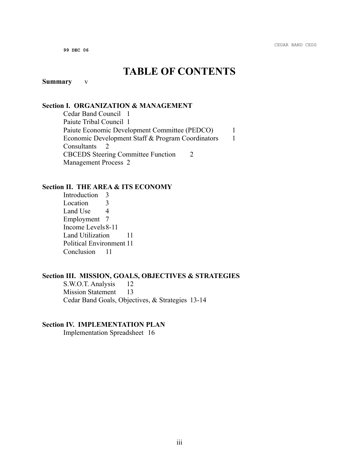### **TABLE OF CONTENTS**

#### **Summary** v

#### **Section I. ORGANIZATION & MANAGEMENT**

Cedar Band Council 1 Paiute Tribal Council 1 Paiute Economic Development Committee (PEDCO) 1 Economic Development Staff & Program Coordinators 1 Consultants 2 CBCEDS Steering Committee Function 2 Management Process 2

#### **Section II. THE AREA & ITS ECONOMY**

Introduction 3 Location 3 Land Use 4 Employment 7 Income Levels8-11 Land Utilization 11 Political Environment 11 Conclusion 11

#### **Section III. MISSION, GOALS, OBJECTIVES & STRATEGIES**

S.W.O.T. Analysis 12 Mission Statement 13 Cedar Band Goals, Objectives, & Strategies 13-14

#### **Section IV. IMPLEMENTATION PLAN**

Implementation Spreadsheet 16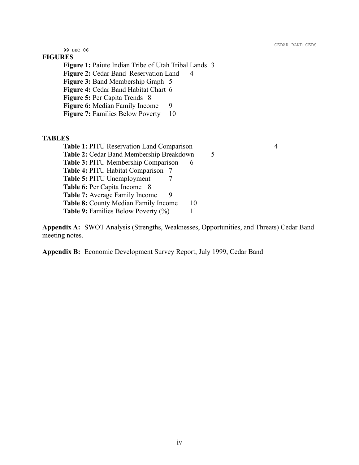CEDAR BAND CEDS

**99 DEC 06**

#### **FIGURES**

**Figure 1:** Paiute Indian Tribe of Utah Tribal Lands 3 **Figure 2:** Cedar Band Reservation Land 4 **Figure 3:** Band Membership Graph 5 **Figure 4:** Cedar Band Habitat Chart 6 **Figure 5:** Per Capita Trends 8 **Figure 6:** Median Family Income 9 **Figure 7:** Families Below Poverty 10

#### **TABLES**

| Table 1: PITU Reservation Land Comparison  | 4  |
|--------------------------------------------|----|
| Table 2: Cedar Band Membership Breakdown   |    |
| Table 3: PITU Membership Comparison<br>6   |    |
| <b>Table 4: PITU Habitat Comparison</b> 7  |    |
| <b>Table 5: PITU Unemployment</b>          |    |
| <b>Table 6: Per Capita Income</b> 8        |    |
| <b>Table 7:</b> Average Family Income      |    |
| Table 8: County Median Family Income       | 10 |
| <b>Table 9:</b> Families Below Poverty (%) |    |
|                                            |    |

**Appendix A:** SWOT Analysis (Strengths, Weaknesses, Opportunities, and Threats) Cedar Band meeting notes.

**Appendix B:** Economic Development Survey Report, July 1999, Cedar Band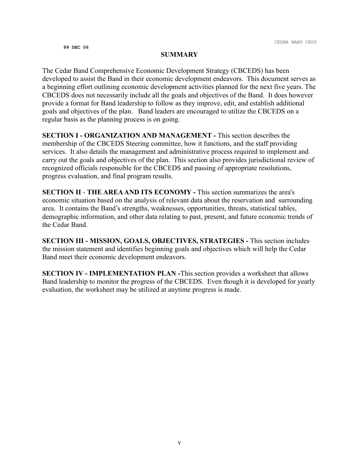#### **SUMMARY**

The Cedar Band Comprehensive Economic Development Strategy (CBCEDS) has been developed to assist the Band in their economic development endeavors. This document serves as a beginning effort outlining economic development activities planned for the next five years. The CBCEDS does not necessarily include all the goals and objectives of the Band. It does however provide a format for Band leadership to follow as they improve, edit, and establish additional goals and objectives of the plan. Band leaders are encouraged to utilize the CBCEDS on a regular basis as the planning process is on going.

**SECTION I - ORGANIZATION AND MANAGEMENT -** This section describes the membership of the CBCEDS Steering committee, how it functions, and the staff providing services. It also details the management and administrative process required to implement and carry out the goals and objectives of the plan. This section also provides jurisdictional review of recognized officials responsible for the CBCEDS and passing of appropriate resolutions, progress evaluation, and final program results.

**SECTION II** - **THE AREA AND ITS ECONOMY -** This section summarizes the area's economic situation based on the analysis of relevant data about the reservation and surrounding area. It contains the Band's strengths, weaknesses, opportunities, threats, statistical tables, demographic information, and other data relating to past, present, and future economic trends of the Cedar Band.

**SECTION III - MISSION, GOALS, OBJECTIVES, STRATEGIES -** This section includes the mission statement and identifies beginning goals and objectives which will help the Cedar Band meet their economic development endeavors.

**SECTION IV - IMPLEMENTATION PLAN -**This section provides a worksheet that allows Band leadership to monitor the progress of the CBCEDS. Even though it is developed for yearly evaluation, the worksheet may be utilized at anytime progress is made.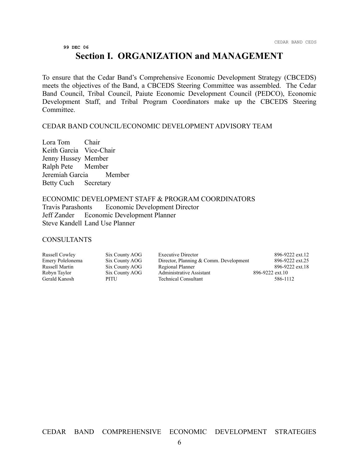### **Section I. ORGANIZATION and MANAGEMENT**

To ensure that the Cedar Band's Comprehensive Economic Development Strategy (CBCEDS) meets the objectives of the Band, a CBCEDS Steering Committee was assembled. The Cedar Band Council, Tribal Council, Paiute Economic Development Council (PEDCO), Economic Development Staff, and Tribal Program Coordinators make up the CBCEDS Steering Committee.

#### CEDAR BAND COUNCIL/ECONOMIC DEVELOPMENT ADVISORY TEAM

Lora Tom Chair Keith Garcia Vice-Chair Jenny Hussey Member Ralph Pete Member Jeremiah Garcia Member Betty Cuch Secretary

#### ECONOMIC DEVELOPMENT STAFF & PROGRAM COORDINATORS

Travis Parashonts Economic Development Director Jeff Zander Economic Development Planner Steve Kandell Land Use Planner

#### **CONSULTANTS**

| Russell Cowley   | Six County AOG | <b>Executive Director</b>              | 896-9222 ext.12 |
|------------------|----------------|----------------------------------------|-----------------|
| Emery Polelonema | Six County AOG | Director, Planning & Comm. Development | 896-9222 ext.25 |
| Russell Martin   | Six County AOG | Regional Planner                       | 896-9222 ext.18 |
| Robyn Taylor     | Six County AOG | Administrative Assistant               | 896-9222 ext.10 |
| Gerald Kanosh    | PITU           | <b>Technical Consultant</b>            | 586-1112        |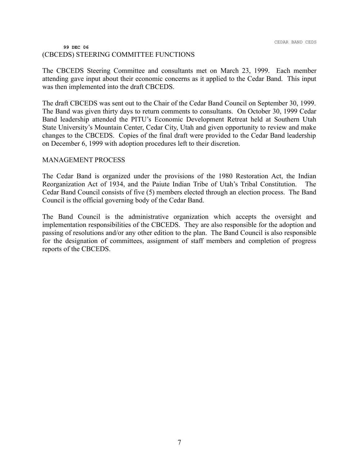#### **99 DEC 06** (CBCEDS) STEERING COMMITTEE FUNCTIONS

The CBCEDS Steering Committee and consultants met on March 23, 1999. Each member attending gave input about their economic concerns as it applied to the Cedar Band. This input was then implemented into the draft CBCEDS.

The draft CBCEDS was sent out to the Chair of the Cedar Band Council on September 30, 1999. The Band was given thirty days to return comments to consultants. On October 30, 1999 Cedar Band leadership attended the PITU's Economic Development Retreat held at Southern Utah State University's Mountain Center, Cedar City, Utah and given opportunity to review and make changes to the CBCEDS. Copies of the final draft were provided to the Cedar Band leadership on December 6, 1999 with adoption procedures left to their discretion.

#### MANAGEMENT PROCESS

The Cedar Band is organized under the provisions of the 1980 Restoration Act, the Indian Reorganization Act of 1934, and the Paiute Indian Tribe of Utah's Tribal Constitution. The Cedar Band Council consists of five (5) members elected through an election process. The Band Council is the official governing body of the Cedar Band.

The Band Council is the administrative organization which accepts the oversight and implementation responsibilities of the CBCEDS. They are also responsible for the adoption and passing of resolutions and/or any other edition to the plan. The Band Council is also responsible for the designation of committees, assignment of staff members and completion of progress reports of the CBCEDS.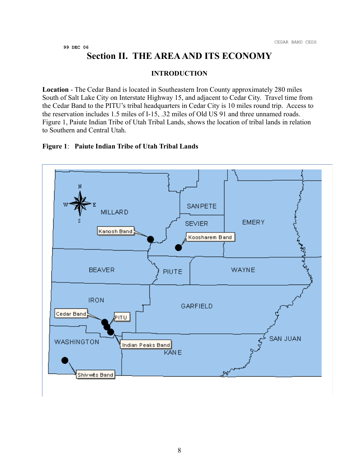### **Section II. THE AREA AND ITS ECONOMY**

#### **INTRODUCTION**

**Location** - The Cedar Band is located in Southeastern Iron County approximately 280 miles South of Salt Lake City on Interstate Highway 15, and adjacent to Cedar City. Travel time from the Cedar Band to the PITU's tribal headquarters in Cedar City is 10 miles round trip. Access to the reservation includes 1.5 miles of I-15, .32 miles of Old US 91 and three unnamed roads. Figure 1, Paiute Indian Tribe of Utah Tribal Lands, shows the location of tribal lands in relation to Southern and Central Utah.

#### **Figure 1**: **Paiute Indian Tribe of Utah Tribal Lands**

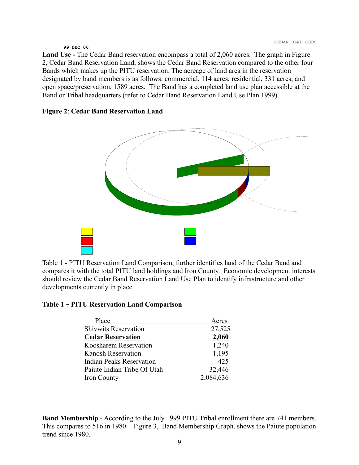**Land Use -** The Cedar Band reservation encompass a total of 2,060 acres. The graph in Figure 2, Cedar Band Reservation Land, shows the Cedar Band Reservation compared to the other four Bands which makes up the PITU reservation. The acreage of land area in the reservation designated by band members is as follows: commercial, 114 acres; residential, 331 acres; and open space/preservation, 1589 acres. The Band has a completed land use plan accessible at the Band or Tribal headquarters (refer to Cedar Band Reservation Land Use Plan 1999).

#### **Figure 2**: **Cedar Band Reservation Land**



Table 1 - PITU Reservation Land Comparison, further identifies land of the Cedar Band and compares it with the total PITU land holdings and Iron County. Economic development interests should review the Cedar Band Reservation Land Use Plan to identify infrastructure and other developments currently in place.

#### **Table 1 - PITU Reservation Land Comparison**

| Place                           | Acres     |
|---------------------------------|-----------|
| <b>Shivwits Reservation</b>     | 27,525    |
| <b>Cedar Reservation</b>        | 2,060     |
| Koosharem Reservation           | 1,240     |
| <b>Kanosh Reservation</b>       | 1,195     |
| <b>Indian Peaks Reservation</b> | 425       |
| Paiute Indian Tribe Of Utah     | 32,446    |
| Iron County                     | 2,084,636 |
|                                 |           |

**Band Membership** - According to the July 1999 PITU Tribal enrollment there are 741 members. This compares to 516 in 1980. Figure 3, Band Membership Graph, shows the Paiute population trend since 1980.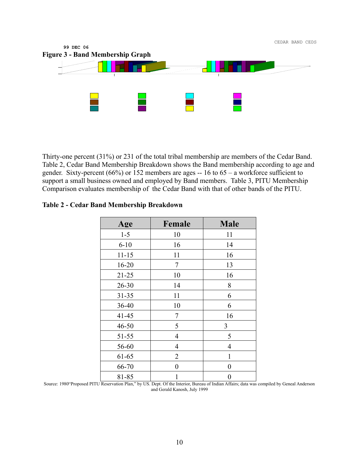

Thirty-one percent (31%) or 231 of the total tribal membership are members of the Cedar Band. Table 2, Cedar Band Membership Breakdown shows the Band membership according to age and gender. Sixty-percent (66%) or 152 members are ages -- 16 to 65 – a workforce sufficient to support a small business owned and employed by Band members. Table 3, PITU Membership Comparison evaluates membership of the Cedar Band with that of other bands of the PITU.

| <b>Table 2 - Cedar Band Membership Breakdown</b> |
|--------------------------------------------------|
|--------------------------------------------------|

| Age       | Female         | <b>Male</b>    |
|-----------|----------------|----------------|
| $1 - 5$   | 10             | 11             |
| $6 - 10$  | 16             | 14             |
| $11 - 15$ | 11             | 16             |
| $16 - 20$ | 7              | 13             |
| $21 - 25$ | 10             | 16             |
| $26 - 30$ | 14             | 8              |
| $31 - 35$ | 11             | 6              |
| 36-40     | 10             | 6              |
| $41 - 45$ | 7              | 16             |
| $46 - 50$ | 5              | 3              |
| 51-55     | $\overline{4}$ | 5              |
| 56-60     | $\overline{4}$ | 4              |
| 61-65     | 2              | 1              |
| 66-70     | 0              | $\overline{0}$ |
| 81-85     | 1              | 0              |

Source: 1980"Proposed PITU Reservation Plan," by US. Dept. Of the Interior, Bureau of Indian Affairs; data was compiled by Geneal Anderson and Gerald Kanosh, July 1999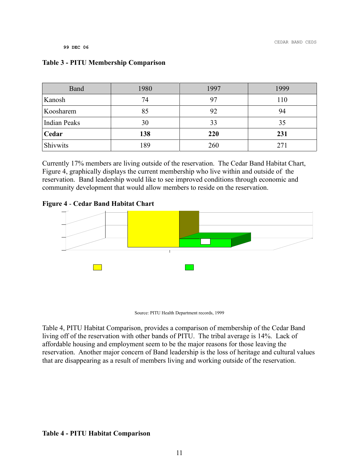| Band                | 1980 | 1997 | 1999 |
|---------------------|------|------|------|
| Kanosh              | 74   | 97   | 110  |
| Koosharem           | 85   | 92   | 94   |
| <b>Indian Peaks</b> | 30   | 33   | 35   |
| Cedar               | 138  | 220  | 231  |
| Shivwits            | 189  | 260  | 271  |

Currently 17% members are living outside of the reservation. The Cedar Band Habitat Chart, Figure 4, graphically displays the current membership who live within and outside of the reservation. Band leadership would like to see improved conditions through economic and community development that would allow members to reside on the reservation.

#### **Figure 4** - **Cedar Band Habitat Chart**



Source: PITU Health Department records, 1999

Table 4, PITU Habitat Comparison, provides a comparison of membership of the Cedar Band living off of the reservation with other bands of PITU. The tribal average is 14%. Lack of affordable housing and employment seem to be the major reasons for those leaving the reservation. Another major concern of Band leadership is the loss of heritage and cultural values that are disappearing as a result of members living and working outside of the reservation.

#### **Table 4 - PITU Habitat Comparison**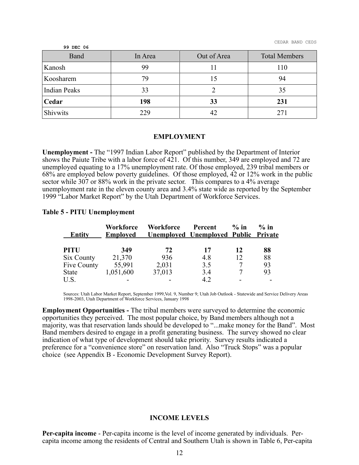| 99 DEC 06    |         |             |                      |
|--------------|---------|-------------|----------------------|
| Band         | In Area | Out of Area | <b>Total Members</b> |
| Kanosh       | 99      |             | 110                  |
| Koosharem    | 79      | 15          | 94                   |
| Indian Peaks | 33      |             | 35                   |
| Cedar        | 198     | 33          | 231                  |
| Shivwits     | 229     | 42          | 271                  |

#### **EMPLOYMENT**

**Unemployment -** The "1997 Indian Labor Report" published by the Department of Interior shows the Paiute Tribe with a labor force of 421. Of this number, 349 are employed and 72 are unemployed equating to a 17% unemployment rate. Of those employed, 239 tribal members or 68% are employed below poverty guidelines. Of those employed, 42 or 12% work in the public sector while 307 or 88% work in the private sector. This compares to a 4% average unemployment rate in the eleven county area and 3.4% state wide as reported by the September 1999 "Labor Market Report" by the Utah Department of Workforce Services.

#### **Table 5 - PITU Unemployment**

| <b>Entity</b> | Workforce<br><b>Employed</b> | <b>Workforce</b> | Percent<br><b>Unemployed Unemployed Public Private</b> | $\%$ in | $\%$ in |
|---------------|------------------------------|------------------|--------------------------------------------------------|---------|---------|
| <b>PITU</b>   | 349                          | 72               | 17                                                     | 12      | 88      |
| Six County    | 21,370                       | 936              | 4.8                                                    | 12      | 88      |
| Five County   | 55,991                       | 2,031            | 3.5                                                    | 7       | 93      |
| State         | 1,051,600                    | 37,013           | 3.4                                                    |         | 93      |
| U.S.          |                              |                  | 4.2                                                    |         |         |

Sources: Utah Labor Market Report, September 1999,Vol. 9, Number 9; Utah Job Outlook - Statewide and Service Delivery Areas 1998-2003, Utah Department of Workforce Services, January 1998

**Employment Opportunities -** The tribal members were surveyed to determine the economic opportunities they perceived. The most popular choice, by Band members although not a majority, was that reservation lands should be developed to "...make money for the Band". Most Band members desired to engage in a profit generating business. The survey showed no clear indication of what type of development should take priority. Survey results indicated a preference for a "convenience store" on reservation land. Also "Truck Stops" was a popular choice (see Appendix B - Economic Development Survey Report).

#### **INCOME LEVELS**

**Per-capita income** - Per-capita income is the level of income generated by individuals. Percapita income among the residents of Central and Southern Utah is shown in Table 6, Per-capita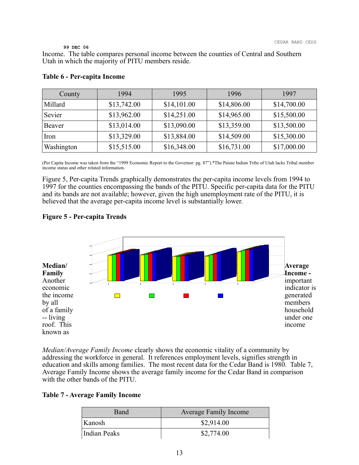Income. The table compares personal income between the counties of Central and Southern Utah in which the majority of PITU members reside.

| County     | 1994        | 1995        | 1996        | 1997        |
|------------|-------------|-------------|-------------|-------------|
| Millard    | \$13,742.00 | \$14,101.00 | \$14,806.00 | \$14,700.00 |
| Sevier     | \$13,962.00 | \$14,251.00 | \$14,965.00 | \$15,500.00 |
| Beaver     | \$13,014.00 | \$13,090.00 | \$13,359.00 | \$13,500.00 |
| Iron       | \$13,329.00 | \$13,884.00 | \$14,509.00 | \$15,300.00 |
| Washington | \$15,515.00 | \$16,348.00 | \$16,731.00 | \$17,000.00 |

#### **Table 6 - Per-capita Income**

(Per Capita Income was taken from the "1999 Economic Report to the Governor: pg. 87").\*The Paiute Indian Tribe of Utah lacks Tribal member income status and other related information.

Figure 5, Per-capita Trends graphically demonstrates the per-capita income levels from 1994 to 1997 for the counties encompassing the bands of the PITU. Specific per-capita data for the PITU and its bands are not available; however, given the high unemployment rate of the PITU, it is believed that the average per-capita income level is substantially lower.

#### **Figure 5 - Per-capita Trends**



*Median/Average Family Income* clearly shows the economic vitality of a community by addressing the workforce in general. It references employment levels, signifies strength in education and skills among families. The most recent data for the Cedar Band is 1980. Table 7, Average Family Income shows the average family income for the Cedar Band in comparison with the other bands of the PITU.

#### **Table 7 - Average Family Income**

| <b>Band</b>  | <b>Average Family Income</b> |
|--------------|------------------------------|
| Kanosh       | \$2,914.00                   |
| Indian Peaks | \$2,774.00                   |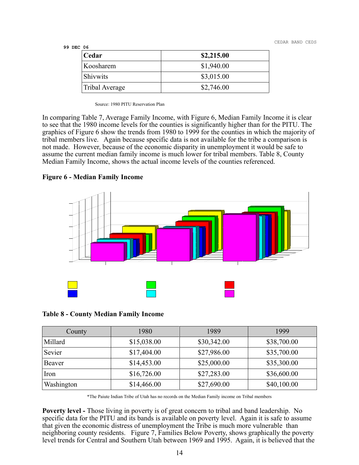CEDAR BAND CEDS

| 99 DEC | 06 |
|--------|----|
|--------|----|

| Cedar           | \$2,215.00 |
|-----------------|------------|
| Koosharem       | \$1,940.00 |
| <b>Shivwits</b> | \$3,015.00 |
| Tribal Average  | \$2,746.00 |

Source: 1980 PITU Reservation Plan

In comparing Table 7, Average Family Income, with Figure 6, Median Family Income it is clear to see that the 1980 income levels for the counties is significantly higher than for the PITU. The graphics of Figure 6 show the trends from 1980 to 1999 for the counties in which the majority of tribal members live. Again because specific data is not available for the tribe a comparison is not made. However, because of the economic disparity in unemployment it would be safe to assume the current median family income is much lower for tribal members. Table 8, County Median Family Income, shows the actual income levels of the counties referenced.

**Figure 6 - Median Family Income**



#### **Table 8 - County Median Family Income**

| County     | 1980        | 1989        | 1999        |
|------------|-------------|-------------|-------------|
| Millard    | \$15,038.00 | \$30,342.00 | \$38,700.00 |
| Sevier     | \$17,404.00 | \$27,986.00 | \$35,700.00 |
| Beaver     | \$14,453.00 | \$25,000.00 | \$35,300.00 |
| Iron       | \$16,726.00 | \$27,283.00 | \$36,600.00 |
| Washington | \$14,466.00 | \$27,690.00 | \$40,100.00 |

\*The Paiute Indian Tribe of Utah has no records on the Median Family income on Tribal members

**Poverty level -** Those living in poverty is of great concern to tribal and band leadership. No specific data for the PITU and its bands is available on poverty level. Again it is safe to assume that given the economic distress of unemployment the Tribe is much more vulnerable than neighboring county residents. Figure 7, Families Below Poverty, shows graphically the poverty level trends for Central and Southern Utah between 1969 and 1995. Again, it is believed that the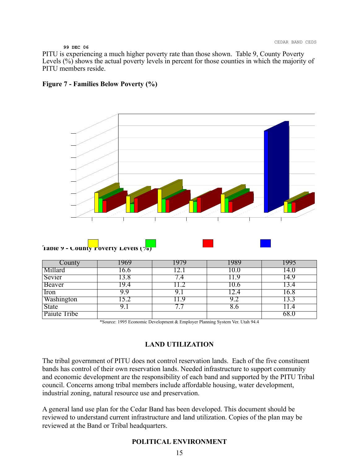PITU is experiencing a much higher poverty rate than those shown. Table 9, County Poverty Levels (%) shows the actual poverty levels in percent for those counties in which the majority of PITU members reside.





| County       | .969 | 979         | 1989 |       |
|--------------|------|-------------|------|-------|
| Millard      | .6.6 |             | 10.0 | l4.U  |
| Sevier       | 3.8  | .4          | 11.9 | l 4.9 |
| Beaver       | 19.4 | 1.2         | 10.6 | 3.4   |
| Iron         | 9.9  |             |      | 16.8  |
| Washington   | 5.2  | .1.9        | 9.2  |       |
| <b>State</b> |      | $\bullet$ . | 8.0  |       |
| Paiute Tribe |      |             |      | 68.0  |

\*Source: 1995 Economic Development & Employer Planning System Ver. Utah 94.4

#### **LAND UTILIZATION**

The tribal government of PITU does not control reservation lands. Each of the five constituent bands has control of their own reservation lands. Needed infrastructure to support community and economic development are the responsibility of each band and supported by the PITU Tribal council. Concerns among tribal members include affordable housing, water development, industrial zoning, natural resource use and preservation.

A general land use plan for the Cedar Band has been developed. This document should be reviewed to understand current infrastructure and land utilization. Copies of the plan may be reviewed at the Band or Tribal headquarters.

#### **POLITICAL ENVIRONMENT**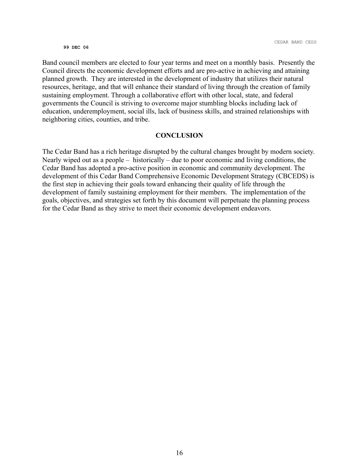Band council members are elected to four year terms and meet on a monthly basis. Presently the Council directs the economic development efforts and are pro-active in achieving and attaining planned growth. They are interested in the development of industry that utilizes their natural resources, heritage, and that will enhance their standard of living through the creation of family sustaining employment. Through a collaborative effort with other local, state, and federal governments the Council is striving to overcome major stumbling blocks including lack of education, underemployment, social ills, lack of business skills, and strained relationships with neighboring cities, counties, and tribe.

#### **CONCLUSION**

The Cedar Band has a rich heritage disrupted by the cultural changes brought by modern society. Nearly wiped out as a people – historically – due to poor economic and living conditions, the Cedar Band has adopted a pro-active position in economic and community development. The development of this Cedar Band Comprehensive Economic Development Strategy (CBCEDS) is the first step in achieving their goals toward enhancing their quality of life through the development of family sustaining employment for their members. The implementation of the goals, objectives, and strategies set forth by this document will perpetuate the planning process for the Cedar Band as they strive to meet their economic development endeavors.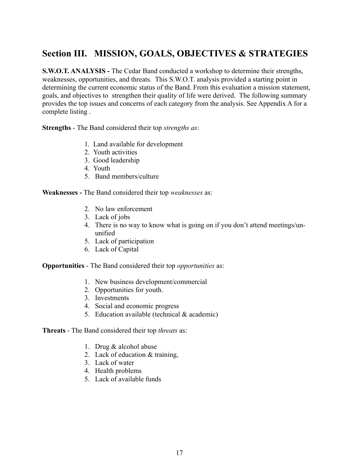### **Section III. MISSION, GOALS, OBJECTIVES & STRATEGIES**

**S.W.O.T. ANALYSIS -** The Cedar Band conducted a workshop to determine their strengths, weaknesses, opportunities, and threats. This S.W.O.T. analysis provided a starting point in determining the current economic status of the Band. From this evaluation a mission statement, goals, and objectives to strengthen their quality of life were derived. The following summary provides the top issues and concerns of each category from the analysis. See Appendix A for a complete listing .

**Strengths** - The Band considered their top *strengths as*:

- 1. Land available for development
- 2. Youth activities
- 3. Good leadership
- 4. Youth
- 5. Band members/culture

**Weaknesses -** The Band considered their top *weaknesses* as:

- 2. No law enforcement
- 3. Lack of jobs
- 4. There is no way to know what is going on if you don't attend meetings/ununified
- 5. Lack of participation
- 6. Lack of Capital

**Opportunities** - The Band considered their top *opportunities* as:

- 1. New business development/commercial
- 2. Opportunities for youth.
- 3. Investments
- 4. Social and economic progress
- 5. Education available (technical & academic)

**Threats** - The Band considered their top *threats* as:

- 1. Drug & alcohol abuse
- 2. Lack of education & training,
- 3. Lack of water
- 4. Health problems
- 5. Lack of available funds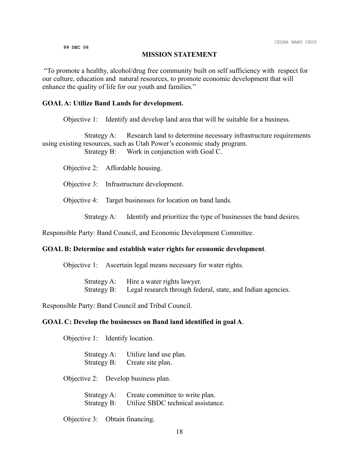#### **MISSION STATEMENT**

"To promote a healthy, alcohol/drug free community built on self sufficiency with respect for our culture, education and natural resources, to promote economic development that will enhance the quality of life for our youth and families."

#### **GOAL A: Utilize Band Lands for development.**

Objective 1: Identify and develop land area that will be suitable for a business.

Strategy A: Research land to determine necessary infrastructure requirements using existing resources, such as Utah Power's economic study program. Strategy B: Work in conjunction with Goal C.

Objective 2: Affordable housing.

Objective 3: Infrastructure development.

Objective 4: Target businesses for location on band lands.

Strategy A: Identify and prioritize the type of businesses the band desires.

Responsible Party: Band Council, and Economic Development Committee.

#### **GOAL B: Determine and establish water rights for economic development**.

Objective 1: Ascertain legal means necessary for water rights.

Strategy A: Hire a water rights lawyer. Strategy B: Legal research through federal, state, and Indian agencies.

Responsible Party: Band Council and Tribal Council.

#### **GOAL C: Develop the businesses on Band land identified in goal A**.

Objective 1: Identify location.

Strategy A: Utilize land use plan. Strategy B: Create site plan.

Objective 2: Develop business plan.

| Strategy A: | Create committee to write plan.    |
|-------------|------------------------------------|
| Strategy B: | Utilize SBDC technical assistance. |

Objective 3: Obtain financing.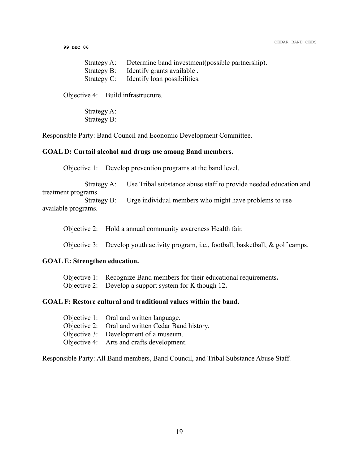CEDAR BAND CEDS

**99 DEC 06**

| Strategy A: Determine band investment (possible partnership). |
|---------------------------------------------------------------|
| Strategy B: Identify grants available.                        |
| Strategy C: Identify loan possibilities.                      |

Objective 4: Build infrastructure.

Strategy A: Strategy B:

Responsible Party: Band Council and Economic Development Committee.

#### **GOAL D: Curtail alcohol and drugs use among Band members.**

Objective 1: Develop prevention programs at the band level.

Strategy A: Use Tribal substance abuse staff to provide needed education and

treatment programs. Strategy B: Urge individual members who might have problems to use available programs.

Objective 2: Hold a annual community awareness Health fair.

Objective 3: Develop youth activity program, i.e., football, basketball, & golf camps.

#### **GOAL E: Strengthen education.**

Objective 1:Recognize Band members for their educational requirements**.** 

Objective 2: Develop a support system for K though 12**.**

#### **GOAL F: Restore cultural and traditional values within the band.**

| Objective 1: Oral and written language.           |
|---------------------------------------------------|
| Objective 2: Oral and written Cedar Band history. |
| Objective 3: Development of a museum.             |
| Objective 4: Arts and crafts development.         |

Responsible Party: All Band members, Band Council, and Tribal Substance Abuse Staff.